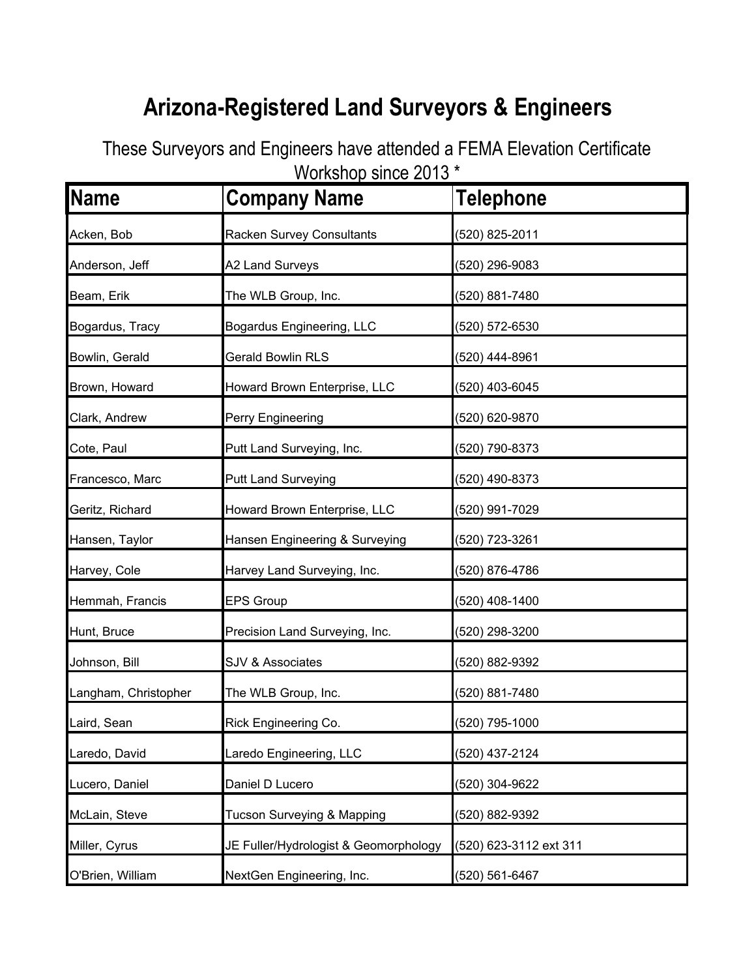## **Arizona-Registered Land Surveyors & Engineers**

These Surveyors and Engineers have attended a FEMA Elevation Certificate Workshop since 2013 \*

| <b>Name</b>          | ט ו טב טטוווט עטווטאווט צ<br><b>Company Name</b> | <b>Telephone</b>       |
|----------------------|--------------------------------------------------|------------------------|
|                      |                                                  |                        |
| Acken, Bob           | Racken Survey Consultants                        | (520) 825-2011         |
| Anderson, Jeff       | A2 Land Surveys                                  | (520) 296-9083         |
| Beam, Erik           | The WLB Group, Inc.                              | (520) 881-7480         |
| Bogardus, Tracy      | Bogardus Engineering, LLC                        | (520) 572-6530         |
| Bowlin, Gerald       | <b>Gerald Bowlin RLS</b>                         | (520) 444-8961         |
| Brown, Howard        | Howard Brown Enterprise, LLC                     | (520) 403-6045         |
| Clark, Andrew        | Perry Engineering                                | (520) 620-9870         |
| Cote, Paul           | Putt Land Surveying, Inc.                        | (520) 790-8373         |
| Francesco, Marc      | <b>Putt Land Surveying</b>                       | (520) 490-8373         |
| Geritz, Richard      | Howard Brown Enterprise, LLC                     | (520) 991-7029         |
| Hansen, Taylor       | Hansen Engineering & Surveying                   | (520) 723-3261         |
| Harvey, Cole         | Harvey Land Surveying, Inc.                      | (520) 876-4786         |
| Hemmah, Francis      | <b>EPS Group</b>                                 | (520) 408-1400         |
| Hunt, Bruce          | Precision Land Surveying, Inc.                   | (520) 298-3200         |
| Johnson, Bill        | <b>SJV &amp; Associates</b>                      | (520) 882-9392         |
| Langham, Christopher | The WLB Group, Inc.                              | (520) 881-7480         |
| Laird, Sean          | Rick Engineering Co.                             | (520) 795-1000         |
| Laredo, David        | Laredo Engineering, LLC                          | (520) 437-2124         |
| Lucero, Daniel       | Daniel D Lucero                                  | (520) 304-9622         |
| McLain, Steve        | Tucson Surveying & Mapping                       | (520) 882-9392         |
| Miller, Cyrus        | JE Fuller/Hydrologist & Geomorphology            | (520) 623-3112 ext 311 |
| O'Brien, William     | NextGen Engineering, Inc.                        | (520) 561-6467         |